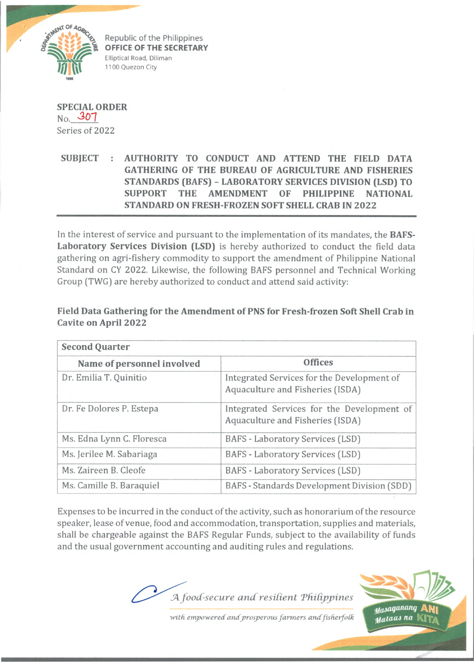

Republic of the Philippines **OFFICE OF THE SECRETARY** Elliptical Road, Diliman 1100 Quezon City

**SPECIAL ORDER** No. *3 0 1* Series of 2022

**SUBJECT : AUTHORITY TO CONDUCT AND ATTEND THE FIELD DATA GATHERING OF THE BUREAU OF AGRICULTURE AND FISHERIES STANDARDS (BAFS) - LABORATORY SERVICES DIVISION (LSD) TO SUPPORT THE AMENDMENT OF PHILIPPINE NATIONAL STANDARD ON FRESH-FROZEN SOFT SHELL CRAB IN 2022**

In the interest of service and pursuant to the implementation of its mandates, the **BAFS-Laboratory Services Division (LSD)** is hereby authorized to conduct the field data gathering on agri-fishery commodity to support the amendment of Philippine National Standard on CY 2022. Likewise, the following BAFS personnel and Technical Working Group (TWG) are hereby authorized to conduct and attend said activity:

## **Field Data Gathering for the Amendment of PNS for Fresh-frozen Soft Shell Crab in Cavite on April 2022**

| <b>Second Quarter</b>      |                                                                                |
|----------------------------|--------------------------------------------------------------------------------|
| Name of personnel involved | <b>Offices</b>                                                                 |
| Dr. Emilia T. Quinitio     | Integrated Services for the Development of<br>Aquaculture and Fisheries (ISDA) |
| Dr. Fe Dolores P. Estepa   | Integrated Services for the Development of<br>Aquaculture and Fisheries (ISDA) |
| Ms. Edna Lynn C. Floresca  | BAFS - Laboratory Services (LSD)                                               |
| Ms. Jerilee M. Sabariaga   | BAFS - Laboratory Services (LSD)                                               |
| Ms. Zaireen B. Cleofe      | BAFS - Laboratory Services (LSD)                                               |
| Ms. Camille B. Baraquiel   | BAFS - Standards Development Division (SDD)                                    |

Expenses to be incurred in the conduct of the activity, such as honorarium of the resource speaker, lease of venue, food and accommodation, transportation, supplies and materials, shall be chargeable against the BAFS Regular Funds, subject to the availability of funds and the usual government accounting and auditing rules and regulations.

JA *food-secure and resident Tfiitippines*



with empowered and prosperous farmers and fisherfolk